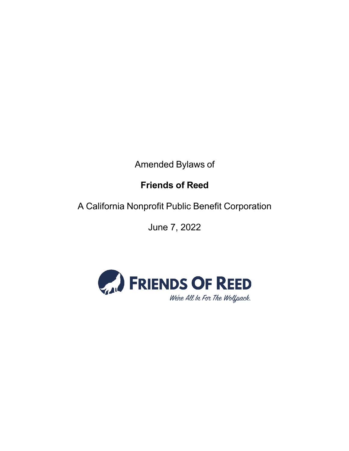Amended Bylaws of

# **Friends of Reed**

A California Nonprofit Public Benefit Corporation

June 7, 2022

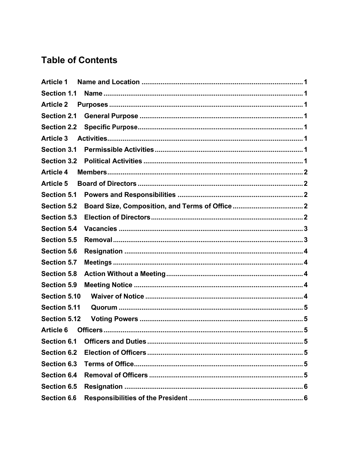# **Table of Contents**

| <b>Article 1</b>    |  |
|---------------------|--|
| <b>Section 1.1</b>  |  |
| <b>Article 2</b>    |  |
| <b>Section 2.1</b>  |  |
| <b>Section 2.2</b>  |  |
| <b>Article 3</b>    |  |
| <b>Section 3.1</b>  |  |
| <b>Section 3.2</b>  |  |
| <b>Article 4</b>    |  |
| <b>Article 5</b>    |  |
| <b>Section 5.1</b>  |  |
| <b>Section 5.2</b>  |  |
| <b>Section 5.3</b>  |  |
| <b>Section 5.4</b>  |  |
| <b>Section 5.5</b>  |  |
| <b>Section 5.6</b>  |  |
| <b>Section 5.7</b>  |  |
| <b>Section 5.8</b>  |  |
| <b>Section 5.9</b>  |  |
| <b>Section 5.10</b> |  |
| <b>Section 5.11</b> |  |
| <b>Section 5.12</b> |  |
| <b>Article 6</b>    |  |
| Section 6.1         |  |
| <b>Section 6.2</b>  |  |
| Section 6.3         |  |
| <b>Section 6.4</b>  |  |
| <b>Section 6.5</b>  |  |
| <b>Section 6.6</b>  |  |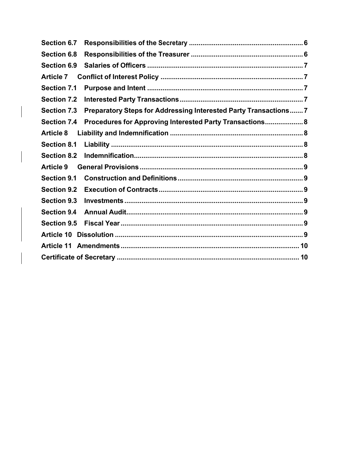| Section 6.7        |                                                                  |
|--------------------|------------------------------------------------------------------|
| <b>Section 6.8</b> |                                                                  |
| <b>Section 6.9</b> |                                                                  |
| <b>Article 7</b>   |                                                                  |
| <b>Section 7.1</b> |                                                                  |
| <b>Section 7.2</b> |                                                                  |
| <b>Section 7.3</b> | Preparatory Steps for Addressing Interested Party Transactions 7 |
| <b>Section 7.4</b> | Procedures for Approving Interested Party Transactions 8         |
| <b>Article 8</b>   |                                                                  |
| <b>Section 8.1</b> |                                                                  |
| <b>Section 8.2</b> |                                                                  |
| <b>Article 9</b>   |                                                                  |
| <b>Section 9.1</b> |                                                                  |
| <b>Section 9.2</b> |                                                                  |
| <b>Section 9.3</b> |                                                                  |
| <b>Section 9.4</b> |                                                                  |
| <b>Section 9.5</b> |                                                                  |
| <b>Article 10</b>  |                                                                  |
| <b>Article 11</b>  |                                                                  |
|                    |                                                                  |
|                    |                                                                  |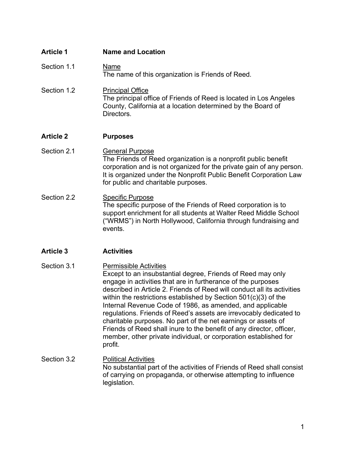| <b>Article 1</b> | <b>Name and Location</b>                                                                                                                                                                                                                                                                                                                                                                                                                                                                                                                                                                                                                                                |
|------------------|-------------------------------------------------------------------------------------------------------------------------------------------------------------------------------------------------------------------------------------------------------------------------------------------------------------------------------------------------------------------------------------------------------------------------------------------------------------------------------------------------------------------------------------------------------------------------------------------------------------------------------------------------------------------------|
| Section 1.1      | Name<br>The name of this organization is Friends of Reed.                                                                                                                                                                                                                                                                                                                                                                                                                                                                                                                                                                                                               |
| Section 1.2      | <b>Principal Office</b><br>The principal office of Friends of Reed is located in Los Angeles<br>County, California at a location determined by the Board of<br>Directors.                                                                                                                                                                                                                                                                                                                                                                                                                                                                                               |
| <b>Article 2</b> | <b>Purposes</b>                                                                                                                                                                                                                                                                                                                                                                                                                                                                                                                                                                                                                                                         |
| Section 2.1      | <b>General Purpose</b><br>The Friends of Reed organization is a nonprofit public benefit<br>corporation and is not organized for the private gain of any person.<br>It is organized under the Nonprofit Public Benefit Corporation Law<br>for public and charitable purposes.                                                                                                                                                                                                                                                                                                                                                                                           |
| Section 2.2      | <b>Specific Purpose</b><br>The specific purpose of the Friends of Reed corporation is to<br>support enrichment for all students at Walter Reed Middle School<br>("WRMS") in North Hollywood, California through fundraising and<br>events.                                                                                                                                                                                                                                                                                                                                                                                                                              |
| <b>Article 3</b> | <b>Activities</b>                                                                                                                                                                                                                                                                                                                                                                                                                                                                                                                                                                                                                                                       |
| Section 3.1      | <b>Permissible Activities</b><br>Except to an insubstantial degree, Friends of Reed may only<br>engage in activities that are in furtherance of the purposes<br>described in Article 2. Friends of Reed will conduct all its activities<br>within the restrictions established by Section $501(c)(3)$ of the<br>Internal Revenue Code of 1986, as amended, and applicable<br>regulations. Friends of Reed's assets are irrevocably dedicated to<br>charitable purposes. No part of the net earnings or assets of<br>Friends of Reed shall inure to the benefit of any director, officer,<br>member, other private individual, or corporation established for<br>profit. |
| Section 3.2      | <b>Political Activities</b><br>No substantial part of the activities of Friends of Reed shall consist<br>of carrying on propaganda, or otherwise attempting to influence<br>legislation.                                                                                                                                                                                                                                                                                                                                                                                                                                                                                |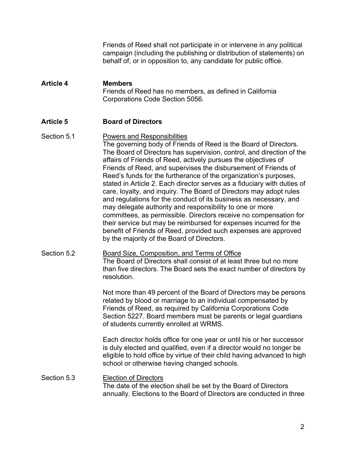Friends of Reed shall not participate in or intervene in any political campaign (including the publishing or distribution of statements) on behalf of, or in opposition to, any candidate for public office.

## **Article 4 Members** Friends of Reed has no members, as defined in California Corporations Code Section 5056.

### **Article 5 Board of Directors**

## Section 5.1 Powers and Responsibilities The governing body of Friends of Reed is the Board of Directors. The Board of Directors has supervision, control, and direction of the affairs of Friends of Reed, actively pursues the objectives of Friends of Reed, and supervises the disbursement of Friends of Reed's funds for the furtherance of the organization's purposes, stated in Article 2. Each director serves as a fiduciary with duties of care, loyalty, and inquiry. The Board of Directors may adopt rules and regulations for the conduct of its business as necessary, and may delegate authority and responsibility to one or more committees, as permissible. Directors receive no compensation for their service but may be reimbursed for expenses incurred for the benefit of Friends of Reed, provided such expenses are approved by the majority of the Board of Directors.

## Section 5.2 **Board Size, Composition, and Terms of Office** The Board of Directors shall consist of at least three but no more than five directors. The Board sets the exact number of directors by resolution.

Not more than 49 percent of the Board of Directors may be persons related by blood or marriage to an individual compensated by Friends of Reed, as required by California Corporations Code Section 5227. Board members must be parents or legal guardians of students currently enrolled at WRMS.

Each director holds office for one year or until his or her successor is duly elected and qualified, even if a director would no longer be eligible to hold office by virtue of their child having advanced to high school or otherwise having changed schools.

Section 5.3 Election of Directors The date of the election shall be set by the Board of Directors annually. Elections to the Board of Directors are conducted in three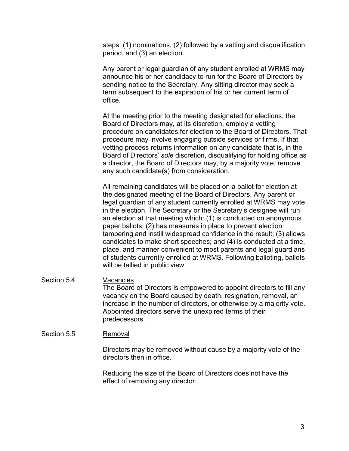steps: (1) nominations, (2) followed by a vetting and disqualification period, and (3) an election.

Any parent or legal guardian of any student enrolled at WRMS may announce his or her candidacy to run for the Board of Directors by sending notice to the Secretary. Any sitting director may seek a term subsequent to the expiration of his or her current term of office.

At the meeting prior to the meeting designated for elections, the Board of Directors may, at its discretion, employ a vetting procedure on candidates for election to the Board of Directors. That procedure may involve engaging outside services or firms. If that vetting process returns information on any candidate that is, in the Board of Directors' *sole* discretion, disqualifying for holding office as a director, the Board of Directors may, by a majority vote, remove any such candidate(s) from consideration.

All remaining candidates will be placed on a ballot for election at the designated meeting of the Board of Directors. Any parent or legal guardian of any student currently enrolled at WRMS may vote in the election. The Secretary or the Secretary's designee will run an election at that meeting which: (1) is conducted on anonymous paper ballots; (2) has measures in place to prevent election tampering and instill widespread confidence in the result; (3) allows candidates to make short speeches; and (4) is conducted at a time, place, and manner convenient to most parents and legal guardians of students currently enrolled at WRMS. Following balloting, ballots will be tallied in public view.

#### Section 5.4 Vacancies The Board of Directors is empowered to appoint directors to fill any vacancy on the Board caused by death, resignation, removal, an increase in the number of directors, or otherwise by a majority vote. Appointed directors serve the unexpired terms of their predecessors.

#### Section 5.5 Removal

Directors may be removed without cause by a majority vote of the directors then in office.

Reducing the size of the Board of Directors does not have the effect of removing any director.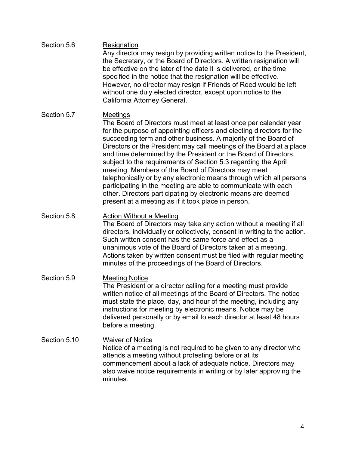| Section 5.7<br>Meetings<br>The Board of Directors must meet at least once per calendar year<br>for the purpose of appointing officers and electing directors for the<br>succeeding term and other business. A majority of the Board of<br>and time determined by the President or the Board of Directors,<br>subject to the requirements of Section 5.3 regarding the April<br>meeting. Members of the Board of Directors may meet<br>participating in the meeting are able to communicate with each<br>other. Directors participating by electronic means are deemed<br>present at a meeting as if it took place in person.<br>Section 5.8<br><b>Action Without a Meeting</b><br>Such written consent has the same force and effect as a<br>unanimous vote of the Board of Directors taken at a meeting.<br>minutes of the proceedings of the Board of Directors.<br>Section 5.9<br><b>Meeting Notice</b><br>The President or a director calling for a meeting must provide<br>written notice of all meetings of the Board of Directors. The notice<br>must state the place, day, and hour of the meeting, including any<br>instructions for meeting by electronic means. Notice may be<br>delivered personally or by email to each director at least 48 hours<br>before a meeting.<br>Section 5.10<br><b>Waiver of Notice</b><br>Notice of a meeting is not required to be given to any director who<br>attends a meeting without protesting before or at its<br>commencement about a lack of adequate notice. Directors may<br>also waive notice requirements in writing or by later approving the<br>minutes. | Section 5.6 | Resignation<br>Any director may resign by providing written notice to the President,<br>the Secretary, or the Board of Directors. A written resignation will<br>be effective on the later of the date it is delivered, or the time<br>specified in the notice that the resignation will be effective.<br>However, no director may resign if Friends of Reed would be left<br>without one duly elected director, except upon notice to the<br>California Attorney General. |
|-------------------------------------------------------------------------------------------------------------------------------------------------------------------------------------------------------------------------------------------------------------------------------------------------------------------------------------------------------------------------------------------------------------------------------------------------------------------------------------------------------------------------------------------------------------------------------------------------------------------------------------------------------------------------------------------------------------------------------------------------------------------------------------------------------------------------------------------------------------------------------------------------------------------------------------------------------------------------------------------------------------------------------------------------------------------------------------------------------------------------------------------------------------------------------------------------------------------------------------------------------------------------------------------------------------------------------------------------------------------------------------------------------------------------------------------------------------------------------------------------------------------------------------------------------------------------------------------------------------------|-------------|---------------------------------------------------------------------------------------------------------------------------------------------------------------------------------------------------------------------------------------------------------------------------------------------------------------------------------------------------------------------------------------------------------------------------------------------------------------------------|
|                                                                                                                                                                                                                                                                                                                                                                                                                                                                                                                                                                                                                                                                                                                                                                                                                                                                                                                                                                                                                                                                                                                                                                                                                                                                                                                                                                                                                                                                                                                                                                                                                   |             | Directors or the President may call meetings of the Board at a place<br>telephonically or by any electronic means through which all persons                                                                                                                                                                                                                                                                                                                               |
|                                                                                                                                                                                                                                                                                                                                                                                                                                                                                                                                                                                                                                                                                                                                                                                                                                                                                                                                                                                                                                                                                                                                                                                                                                                                                                                                                                                                                                                                                                                                                                                                                   |             | The Board of Directors may take any action without a meeting if all<br>directors, individually or collectively, consent in writing to the action.<br>Actions taken by written consent must be filed with regular meeting                                                                                                                                                                                                                                                  |
|                                                                                                                                                                                                                                                                                                                                                                                                                                                                                                                                                                                                                                                                                                                                                                                                                                                                                                                                                                                                                                                                                                                                                                                                                                                                                                                                                                                                                                                                                                                                                                                                                   |             |                                                                                                                                                                                                                                                                                                                                                                                                                                                                           |
|                                                                                                                                                                                                                                                                                                                                                                                                                                                                                                                                                                                                                                                                                                                                                                                                                                                                                                                                                                                                                                                                                                                                                                                                                                                                                                                                                                                                                                                                                                                                                                                                                   |             |                                                                                                                                                                                                                                                                                                                                                                                                                                                                           |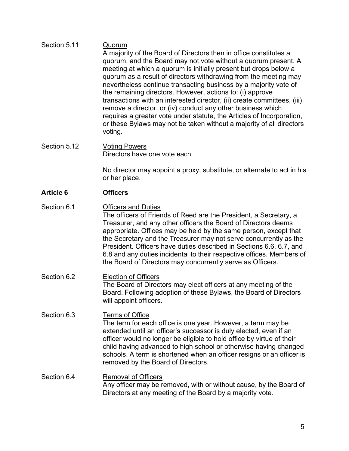### Section 5.11 Quorum A majority of the Board of Directors then in office constitutes a quorum, and the Board may not vote without a quorum present. A meeting at which a quorum is initially present but drops below a quorum as a result of directors withdrawing from the meeting may nevertheless continue transacting business by a majority vote of the remaining directors. However, actions to: (i) approve transactions with an interested director, (ii) create committees, (iii) remove a director, or (iv) conduct any other business which requires a greater vote under statute, the Articles of Incorporation, or these Bylaws may not be taken without a majority of all directors voting.

## Section 5.12 Voting Powers Directors have one vote each.

No director may appoint a proxy, substitute, or alternate to act in his or her place.

## **Article 6 Officers**

- Section 6.1 **Officers and Duties** The officers of Friends of Reed are the President, a Secretary, a Treasurer, and any other officers the Board of Directors deems appropriate. Offices may be held by the same person, except that the Secretary and the Treasurer may not serve concurrently as the President. Officers have duties described in Sections 6.6, 6.7, and 6.8 and any duties incidental to their respective offices. Members of the Board of Directors may concurrently serve as Officers.
- Section 6.2 Election of Officers The Board of Directors may elect officers at any meeting of the Board. Following adoption of these Bylaws, the Board of Directors will appoint officers.
- Section 6.3 Terms of Office The term for each office is one year. However, a term may be extended until an officer's successor is duly elected, even if an officer would no longer be eligible to hold office by virtue of their child having advanced to high school or otherwise having changed schools. A term is shortened when an officer resigns or an officer is removed by the Board of Directors.

## Section 6.4 Removal of Officers Any officer may be removed, with or without cause, by the Board of Directors at any meeting of the Board by a majority vote.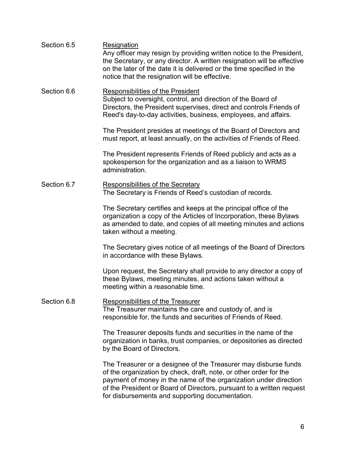| Section 6.5 | Resignation<br>Any officer may resign by providing written notice to the President,<br>the Secretary, or any director. A written resignation will be effective<br>on the later of the date it is delivered or the time specified in the<br>notice that the resignation will be effective.                                            |
|-------------|--------------------------------------------------------------------------------------------------------------------------------------------------------------------------------------------------------------------------------------------------------------------------------------------------------------------------------------|
| Section 6.6 | <b>Responsibilities of the President</b><br>Subject to oversight, control, and direction of the Board of<br>Directors, the President supervises, direct and controls Friends of<br>Reed's day-to-day activities, business, employees, and affairs.                                                                                   |
|             | The President presides at meetings of the Board of Directors and<br>must report, at least annually, on the activities of Friends of Reed.                                                                                                                                                                                            |
|             | The President represents Friends of Reed publicly and acts as a<br>spokesperson for the organization and as a liaison to WRMS<br>administration.                                                                                                                                                                                     |
| Section 6.7 | <b>Responsibilities of the Secretary</b><br>The Secretary is Friends of Reed's custodian of records.                                                                                                                                                                                                                                 |
|             | The Secretary certifies and keeps at the principal office of the<br>organization a copy of the Articles of Incorporation, these Bylaws<br>as amended to date, and copies of all meeting minutes and actions<br>taken without a meeting.                                                                                              |
|             | The Secretary gives notice of all meetings of the Board of Directors<br>in accordance with these Bylaws.                                                                                                                                                                                                                             |
|             | Upon request, the Secretary shall provide to any director a copy of<br>these Bylaws, meeting minutes, and actions taken without a<br>meeting within a reasonable time.                                                                                                                                                               |
| Section 6.8 | <b>Responsibilities of the Treasurer</b><br>The Treasurer maintains the care and custody of, and is<br>responsible for, the funds and securities of Friends of Reed.                                                                                                                                                                 |
|             | The Treasurer deposits funds and securities in the name of the<br>organization in banks, trust companies, or depositories as directed<br>by the Board of Directors.                                                                                                                                                                  |
|             | The Treasurer or a designee of the Treasurer may disburse funds<br>of the organization by check, draft, note, or other order for the<br>payment of money in the name of the organization under direction<br>of the President or Board of Directors, pursuant to a written request<br>for disbursements and supporting documentation. |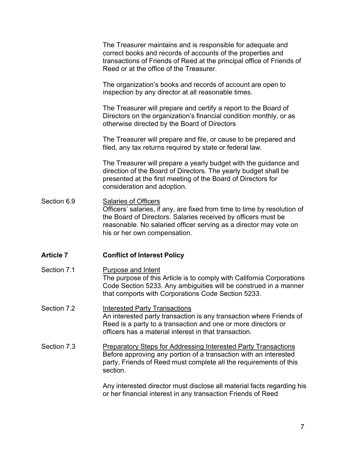|                  | The Treasurer maintains and is responsible for adequate and<br>correct books and records of accounts of the properties and<br>transactions of Friends of Reed at the principal office of Friends of<br>Reed or at the office of the Treasurer.                                |
|------------------|-------------------------------------------------------------------------------------------------------------------------------------------------------------------------------------------------------------------------------------------------------------------------------|
|                  | The organization's books and records of account are open to<br>inspection by any director at all reasonable times.                                                                                                                                                            |
|                  | The Treasurer will prepare and certify a report to the Board of<br>Directors on the organization's financial condition monthly, or as<br>otherwise directed by the Board of Directors                                                                                         |
|                  | The Treasurer will prepare and file, or cause to be prepared and<br>filed, any tax returns required by state or federal law.                                                                                                                                                  |
|                  | The Treasurer will prepare a yearly budget with the guidance and<br>direction of the Board of Directors. The yearly budget shall be<br>presented at the first meeting of the Board of Directors for<br>consideration and adoption.                                            |
| Section 6.9      | <b>Salaries of Officers</b><br>Officers' salaries, if any, are fixed from time to time by resolution of<br>the Board of Directors. Salaries received by officers must be<br>reasonable. No salaried officer serving as a director may vote on<br>his or her own compensation. |
| <b>Article 7</b> | <b>Conflict of Interest Policy</b>                                                                                                                                                                                                                                            |
| Section 7.1      | <b>Purpose and Intent</b><br>The purpose of this Article is to comply with California Corporations<br>Code Section 5233. Any ambiguities will be construed in a manner<br>that comports with Corporations Code Section 5233.                                                  |
| Section 7.2      | <b>Interested Party Transactions</b><br>An interested party transaction is any transaction where Friends of<br>Reed is a party to a transaction and one or more directors or<br>officers has a material interest in that transaction.                                         |
| Section 7.3      | <b>Preparatory Steps for Addressing Interested Party Transactions</b><br>Before approving any portion of a transaction with an interested<br>party, Friends of Reed must complete all the requirements of this<br>section.                                                    |
|                  | Any interested director must disclose all material facts regarding his<br>or her financial interest in any transaction Friends of Reed                                                                                                                                        |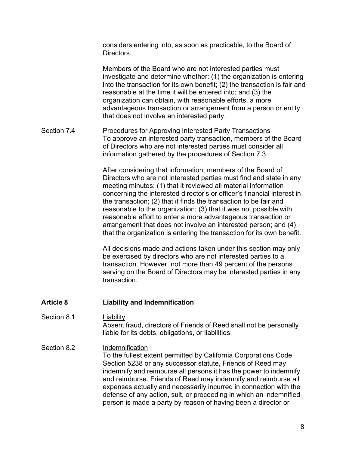considers entering into, as soon as practicable, to the Board of Directors.

Members of the Board who are not interested parties must investigate and determine whether: (1) the organization is entering into the transaction for its own benefit; (2) the transaction is fair and reasonable at the time it will be entered into; and (3) the organization can obtain, with reasonable efforts, a more advantageous transaction or arrangement from a person or entity that does not involve an interested party.

Section 7.4 **Procedures for Approving Interested Party Transactions** To approve an interested party transaction, members of the Board of Directors who are not interested parties must consider all information gathered by the procedures of Section 7.3.

> After considering that information, members of the Board of Directors who are not interested parties must find and state in any meeting minutes: (1) that it reviewed all material information concerning the interested director's or officer's financial interest in the transaction; (2) that it finds the transaction to be fair and reasonable to the organization; (3) that it was not possible with reasonable effort to enter a more advantageous transaction or arrangement that does not involve an interested person; and (4) that the organization is entering the transaction for its own benefit.

> All decisions made and actions taken under this section may only be exercised by directors who are not interested parties to a transaction. However, not more than 49 percent of the persons serving on the Board of Directors may be interested parties in any transaction.

#### **Article 8 Liability and Indemnification**

- Section 8.1 Liability Absent fraud, directors of Friends of Reed shall not be personally liable for its debts, obligations, or liabilities.
- Section 8.2 **Indemnification** To the fullest extent permitted by California Corporations Code Section 5238 or any successor statute, Friends of Reed may indemnify and reimburse all persons it has the power to indemnify and reimburse. Friends of Reed may indemnify and reimburse all expenses actually and necessarily incurred in connection with the defense of any action, suit, or proceeding in which an indemnified person is made a party by reason of having been a director or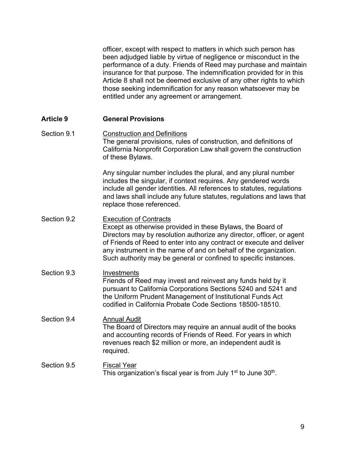officer, except with respect to matters in which such person has been adjudged liable by virtue of negligence or misconduct in the performance of a duty. Friends of Reed may purchase and maintain insurance for that purpose. The indemnification provided for in this Article 8 shall not be deemed exclusive of any other rights to which those seeking indemnification for any reason whatsoever may be entitled under any agreement or arrangement.

#### **Article 9 General Provisions**

Section 9.1 Construction and Definitions The general provisions, rules of construction, and definitions of California Nonprofit Corporation Law shall govern the construction of these Bylaws.

> Any singular number includes the plural, and any plural number includes the singular, if context requires. Any gendered words include all gender identities. All references to statutes, regulations and laws shall include any future statutes, regulations and laws that replace those referenced.

- Section 9.2 Execution of Contracts Except as otherwise provided in these Bylaws, the Board of Directors may by resolution authorize any director, officer, or agent of Friends of Reed to enter into any contract or execute and deliver any instrument in the name of and on behalf of the organization. Such authority may be general or confined to specific instances.
- Section 9.3 **Investments** Friends of Reed may invest and reinvest any funds held by it pursuant to California Corporations Sections 5240 and 5241 and the Uniform Prudent Management of Institutional Funds Act codified in California Probate Code Sections 18500-18510.
- Section 9.4 **Annual Audit** The Board of Directors may require an annual audit of the books and accounting records of Friends of Reed. For years in which revenues reach \$2 million or more, an independent audit is required.
- Section 9.5 Fiscal Year This organization's fiscal year is from July 1<sup>st</sup> to June 30<sup>th</sup>.